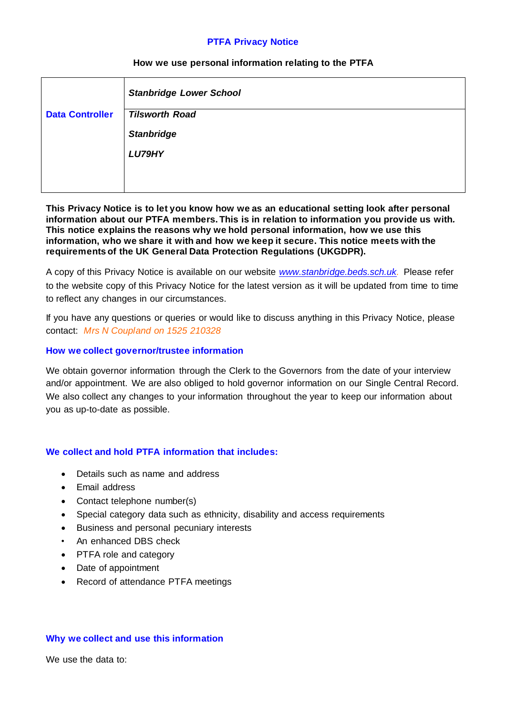### **PTFA Privacy Notice**

### **How we use personal information relating to the PTFA**

|                        | <b>Stanbridge Lower School</b> |
|------------------------|--------------------------------|
| <b>Data Controller</b> | <b>Tilsworth Road</b>          |
|                        | <b>Stanbridge</b>              |
|                        | LU79HY                         |
|                        |                                |
|                        |                                |

### **This Privacy Notice is to let you know how we as an educational setting look after personal information about our PTFA members. This is in relation to information you provide us with***.* **This notice explains the reasons why we hold personal information, how we use this information, who we share it with and how we keep it secure. This notice meets with the requirements of the UK General Data Protection Regulations (UKGDPR).**

A copy of this Privacy Notice is available on our website *[www.stanbridge.beds.sch.uk.](http://www.stanbridge.beds.sch.uk/)* Please refer to the website copy of this Privacy Notice for the latest version as it will be updated from time to time to reflect any changes in our circumstances.

If you have any questions or queries or would like to discuss anything in this Privacy Notice, please contact: *Mrs N Coupland on 1525 210328*

### **How we collect governor/trustee information**

We obtain governor information through the Clerk to the Governors from the date of your interview and/or appointment. We are also obliged to hold governor information on our Single Central Record. We also collect any changes to your information throughout the year to keep our information about you as up-to-date as possible.

## **We collect and hold PTFA information that includes:**

- Details such as name and address
- Email address
- Contact telephone number(s)
- Special category data such as ethnicity, disability and access requirements
- Business and personal pecuniary interests
- An enhanced DBS check
- PTFA role and category
- Date of appointment
- Record of attendance PTFA meetings

#### **Why we collect and use this information**

We use the data to: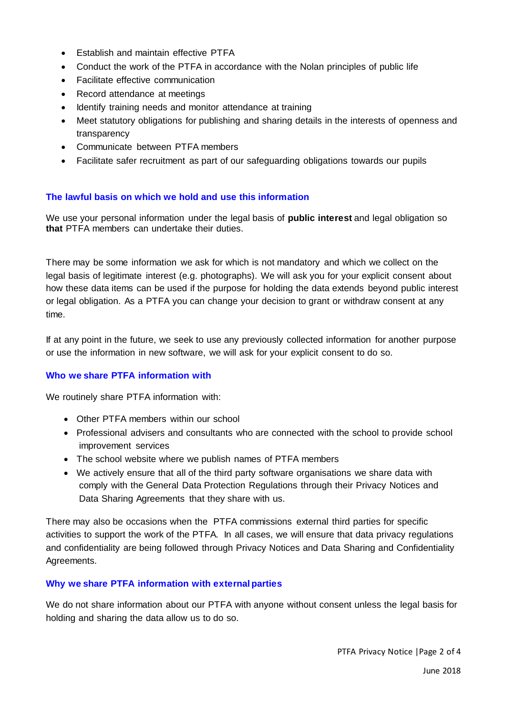- Establish and maintain effective PTFA
- Conduct the work of the PTFA in accordance with the Nolan principles of public life
- Facilitate effective communication
- Record attendance at meetings
- Identify training needs and monitor attendance at training
- Meet statutory obligations for publishing and sharing details in the interests of openness and transparency
- Communicate between PTFA members
- Facilitate safer recruitment as part of our safeguarding obligations towards our pupils

# **The lawful basis on which we hold and use this information**

We use your personal information under the legal basis of **public interest** and legal obligation so **that** PTFA members can undertake their duties.

There may be some information we ask for which is not mandatory and which we collect on the legal basis of legitimate interest (e.g. photographs). We will ask you for your explicit consent about how these data items can be used if the purpose for holding the data extends beyond public interest or legal obligation. As a PTFA you can change your decision to grant or withdraw consent at any time.

If at any point in the future, we seek to use any previously collected information for another purpose or use the information in new software, we will ask for your explicit consent to do so.

## **Who we share PTFA information with**

We routinely share PTFA information with:

- Other PTFA members within our school
- Professional advisers and consultants who are connected with the school to provide school improvement services
- The school website where we publish names of PTFA members
- We actively ensure that all of the third party software organisations we share data with comply with the General Data Protection Regulations through their Privacy Notices and Data Sharing Agreements that they share with us.

There may also be occasions when the PTFA commissions external third parties for specific activities to support the work of the PTFA. In all cases, we will ensure that data privacy regulations and confidentiality are being followed through Privacy Notices and Data Sharing and Confidentiality Agreements.

## **Why we share PTFA information with external parties**

We do not share information about our PTFA with anyone without consent unless the legal basis for holding and sharing the data allow us to do so.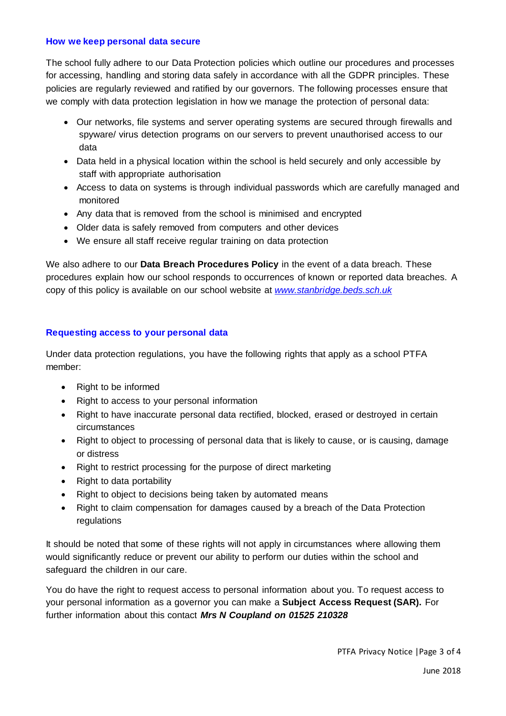#### **How we keep personal data secure**

The school fully adhere to our Data Protection policies which outline our procedures and processes for accessing, handling and storing data safely in accordance with all the GDPR principles. These policies are regularly reviewed and ratified by our governors. The following processes ensure that we comply with data protection legislation in how we manage the protection of personal data:

- Our networks, file systems and server operating systems are secured through firewalls and spyware/ virus detection programs on our servers to prevent unauthorised access to our data
- Data held in a physical location within the school is held securely and only accessible by staff with appropriate authorisation
- Access to data on systems is through individual passwords which are carefully managed and monitored
- Any data that is removed from the school is minimised and encrypted
- Older data is safely removed from computers and other devices
- We ensure all staff receive regular training on data protection

We also adhere to our **Data Breach Procedures Policy** in the event of a data breach. These procedures explain how our school responds to occurrences of known or reported data breaches. A copy of this policy is available on our school website at *[www.stanbridge.beds.sch.uk](http://www.stanbridge.beds.sch.uk/)*

## **Requesting access to your personal data**

Under data protection regulations, you have the following rights that apply as a school PTFA member:

- Right to be informed
- Right to access to your personal information
- Right to have inaccurate personal data rectified, blocked, erased or destroyed in certain circumstances
- Right to object to processing of personal data that is likely to cause, or is causing, damage or distress
- Right to restrict processing for the purpose of direct marketing
- Right to data portability
- Right to object to decisions being taken by automated means
- Right to claim compensation for damages caused by a breach of the Data Protection regulations

It should be noted that some of these rights will not apply in circumstances where allowing them would significantly reduce or prevent our ability to perform our duties within the school and safeguard the children in our care.

You do have the right to request access to personal information about you. To request access to your personal information as a governor you can make a **Subject Access Request (SAR).** For further information about this contact *Mrs N Coupland on 01525 210328*